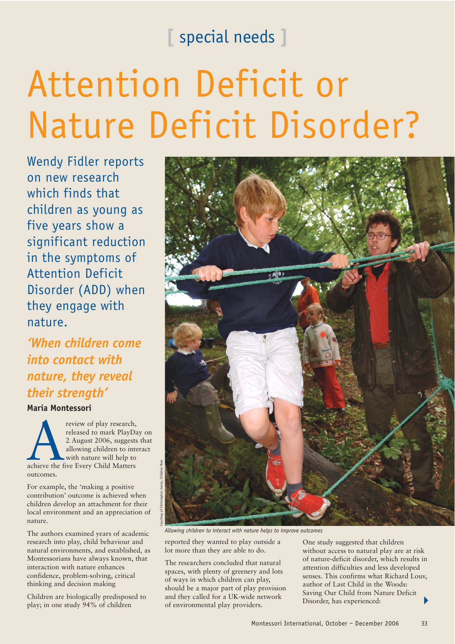## **[** special needs **]**

# Attention Deficit or Nature Deficit Disorder?

Wendy Fidler reports on new research which finds that children as young as five years show a significant reduction in the symptoms of Attention Deficit Disorder (ADD) when they engage with nature.

*'When children come into contact with nature, they reveal their strength'* 

**Maria Montessori**

review of play research,<br>
released to mark PlayD:<br>
2 August 2006, suggest:<br>
allowing children to int<br>
with nature will help to<br>
achieve the five Every Child Matters released to mark PlayDay on 2 August 2006, suggests that allowing children to interact with nature will help to outcomes.

For example, the 'making a positive contribution' outcome is achieved when children develop an attachment for their local environment and an appreciation of nature.

The authors examined years of academic research into play, child behaviour and natural environments, and established, as Montessorians have always known, that interaction with nature enhances confidence, problem-solving, critical thinking and decision making

Children are biologically predisposed to play; in one study 94% of children



*Allowing children to interact with nature helps to improve outcomes*

reported they wanted to play outside a lot more than they are able to do.

The researchers concluded that natural spaces, with plenty of greenery and lots of ways in which children can play, should be a major part of play provision and they called for a UK-wide network of environmental play providers.

One study suggested that children without access to natural play are at risk of nature-deficit disorder, which results in attention difficulties and less developed senses. This confirms what Richard Louv, author of Last Child in the Woods: Saving Our Child from Nature Deficit Disorder, has experienced: -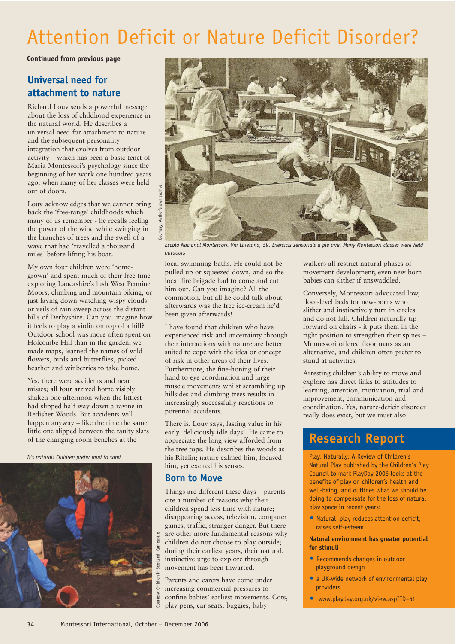# Attention Deficit or Nature Deficit Disorder?

#### **Continued from previous page**

## **Universal need for attachment to nature**

Richard Louv sends a powerful message about the loss of childhood experience in the natural world. He describes a universal need for attachment to nature and the subsequent personality integration that evolves from outdoor activity – which has been a basic tenet of Maria Montessori's psychology since the beginning of her work one hundred years ago, when many of her classes were held out of doors.

Louv acknowledges that we cannot bring back the 'free-range' childhoods which many of us remember - he recalls feeling the power of the wind while swinging in the branches of trees and the swell of a wave that had 'travelled a thousand miles' before lifting his boat.

My own four children were 'homegrown' and spent much of their free time exploring Lancashire's lush West Pennine Moors, climbing and mountain biking, or just laying down watching wispy clouds or veils of rain sweep across the distant hills of Derbyshire. Can you imagine how it feels to play a violin on top of a hill? Outdoor school was more often spent on Holcombe Hill than in the garden; we made maps, learned the names of wild flowers, birds and butterflies, picked heather and winberries to take home.

Yes, there were accidents and near misses; all four arrived home visibly shaken one afternoon when the littlest had slipped half way down a ravine in Redisher Woods. But accidents will happen anyway – like the time the same little one slipped between the faulty slats of the changing room benches at the

*It's natural! Children prefer mud to sand*





*Escola Nacional Montessori. Via Laietana, 59. Exercicis sensorials a ple aire. Many Montessori classes were held outdoors*

local swimming baths. He could not be pulled up or squeezed down, and so the local fire brigade had to come and cut him out. Can you imagine? All the commotion, but all he could talk about afterwards was the free ice-cream he'd been given afterwards!

I have found that children who have experienced risk and uncertainty through their interactions with nature are better suited to cope with the idea or concept of risk in other areas of their lives. Furthermore, the fine-honing of their hand to eye coordination and large muscle movements whilst scrambling up hillsides and climbing trees results in increasingly successfully reactions to potential accidents.

There is, Louv says, lasting value in his early 'deliciously idle days'. He came to appreciate the long view afforded from the tree tops. He describes the woods as his Ritalin; nature calmed him, focused him, yet excited his senses.

### **Born to Move**

Things are different these days – parents cite a number of reasons why their children spend less time with nature; disappearing access, television, computer games, traffic, stranger-danger. But there are other more fundamental reasons why children do not choose to play outside; during their earliest years, their natural, instinctive urge to explore through movement has been thwarted.

Parents and carers have come under increasing commercial pressures to confine babies' earliest movements. Cots, play pens, car seats, buggies, baby

walkers all restrict natural phases of movement development; even new born babies can slither if unswaddled.

Conversely, Montessori advocated low, floor-level beds for new-borns who slither and instinctively turn in circles and do not fall. Children naturally tip forward on chairs - it puts them in the right position to strengthen their spines – Montessori offered floor mats as an alternative, and children often prefer to stand at activities.

Arresting children's ability to move and explore has direct links to attitudes to learning, attention, motivation, trial and improvement, communication and coordination. Yes, nature-deficit disorder really does exist, but we must also

## **Research Report**

Play, Naturally: A Review of Children's Natural Play published by the Children's Play Council to mark PlayDay 2006 looks at the benefits of play on children's health and well-being, and outlines what we should be doing to compensate for the loss of natural play space in recent years:

 Natural play reduces attention deficit, raises self-esteem

#### **Natural environment has greater potential for stimuli**

- Recommends changes in outdoor playground design
- a UK-wide network of environmental play providers
- www.playday.org.uk/view.asp?ID=51